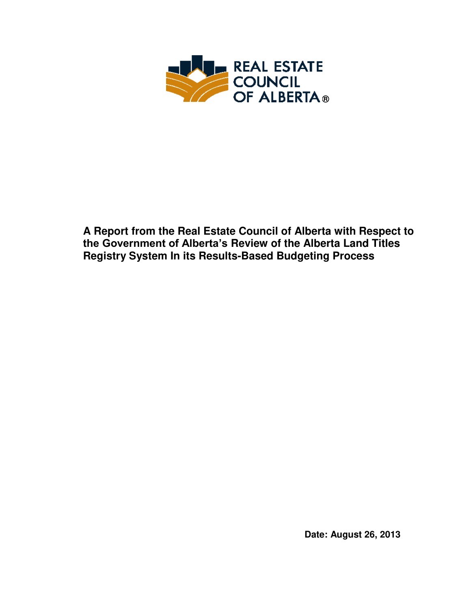

**A Report from the Real Estate Council of Alberta with Respect to the Government of Alberta's Review of the Alberta Land Titles Registry System In its Results-Based Budgeting Process** 

**Date: August 26, 2013**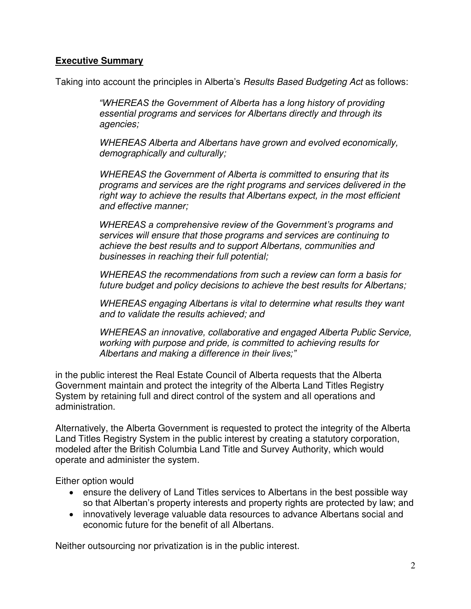#### **Executive Summary**

Taking into account the principles in Alberta's *Results Based Budgeting Act* as follows:

*"WHEREAS the Government of Alberta has a long history of providing essential programs and services for Albertans directly and through its agencies;* 

*WHEREAS Alberta and Albertans have grown and evolved economically, demographically and culturally;* 

*WHEREAS the Government of Alberta is committed to ensuring that its programs and services are the right programs and services delivered in the right way to achieve the results that Albertans expect, in the most efficient and effective manner;* 

*WHEREAS a comprehensive review of the Government's programs and services will ensure that those programs and services are continuing to achieve the best results and to support Albertans, communities and businesses in reaching their full potential;* 

*WHEREAS the recommendations from such a review can form a basis for future budget and policy decisions to achieve the best results for Albertans;* 

*WHEREAS engaging Albertans is vital to determine what results they want and to validate the results achieved; and* 

*WHEREAS an innovative, collaborative and engaged Alberta Public Service, working with purpose and pride, is committed to achieving results for Albertans and making a difference in their lives;"*

in the public interest the Real Estate Council of Alberta requests that the Alberta Government maintain and protect the integrity of the Alberta Land Titles Registry System by retaining full and direct control of the system and all operations and administration.

Alternatively, the Alberta Government is requested to protect the integrity of the Alberta Land Titles Registry System in the public interest by creating a statutory corporation, modeled after the British Columbia Land Title and Survey Authority, which would operate and administer the system.

Either option would

- ensure the delivery of Land Titles services to Albertans in the best possible way so that Albertan's property interests and property rights are protected by law; and
- innovatively leverage valuable data resources to advance Albertans social and economic future for the benefit of all Albertans.

Neither outsourcing nor privatization is in the public interest.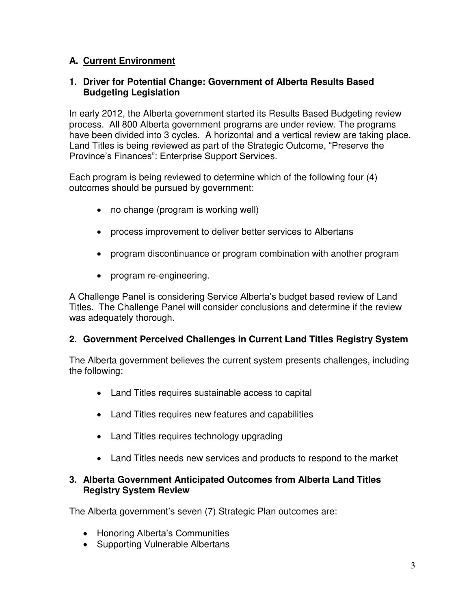# **A. Current Environment**

#### **1. Driver for Potential Change: Government of Alberta Results Based Budgeting Legislation**

In early 2012, the Alberta government started its Results Based Budgeting review process. All 800 Alberta government programs are under review. The programs have been divided into 3 cycles. A horizontal and a vertical review are taking place. Land Titles is being reviewed as part of the Strategic Outcome, "Preserve the Province's Finances": Enterprise Support Services.

Each program is being reviewed to determine which of the following four (4) outcomes should be pursued by government:

- no change (program is working well)
- process improvement to deliver better services to Albertans
- program discontinuance or program combination with another program
- program re-engineering.

A Challenge Panel is considering Service Alberta's budget based review of Land Titles. The Challenge Panel will consider conclusions and determine if the review was adequately thorough.

### **2. Government Perceived Challenges in Current Land Titles Registry System**

The Alberta government believes the current system presents challenges, including the following:

- Land Titles requires sustainable access to capital
- Land Titles requires new features and capabilities
- Land Titles requires technology upgrading
- Land Titles needs new services and products to respond to the market

#### **3. Alberta Government Anticipated Outcomes from Alberta Land Titles Registry System Review**

The Alberta government's seven (7) Strategic Plan outcomes are:

- Honoring Alberta's Communities
- Supporting Vulnerable Albertans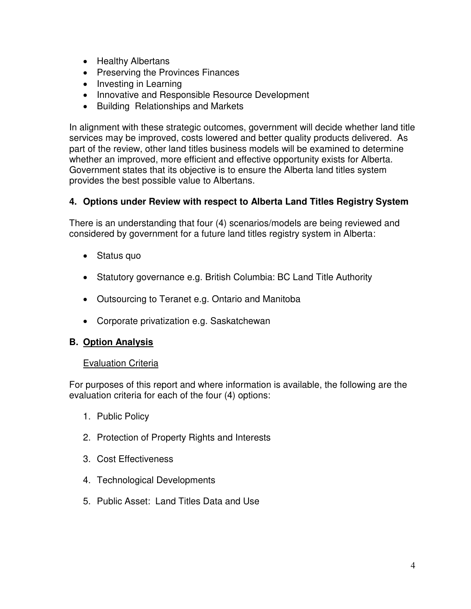- Healthy Albertans
- Preserving the Provinces Finances
- Investing in Learning
- Innovative and Responsible Resource Development
- Building Relationships and Markets

In alignment with these strategic outcomes, government will decide whether land title services may be improved, costs lowered and better quality products delivered. As part of the review, other land titles business models will be examined to determine whether an improved, more efficient and effective opportunity exists for Alberta. Government states that its objective is to ensure the Alberta land titles system provides the best possible value to Albertans.

# **4. Options under Review with respect to Alberta Land Titles Registry System**

There is an understanding that four (4) scenarios/models are being reviewed and considered by government for a future land titles registry system in Alberta:

- Status quo
- Statutory governance e.g. British Columbia: BC Land Title Authority
- Outsourcing to Teranet e.g. Ontario and Manitoba
- Corporate privatization e.g. Saskatchewan

# **B. Option Analysis**

### **Evaluation Criteria**

For purposes of this report and where information is available, the following are the evaluation criteria for each of the four (4) options:

- 1. Public Policy
- 2. Protection of Property Rights and Interests
- 3. Cost Effectiveness
- 4. Technological Developments
- 5. Public Asset: Land Titles Data and Use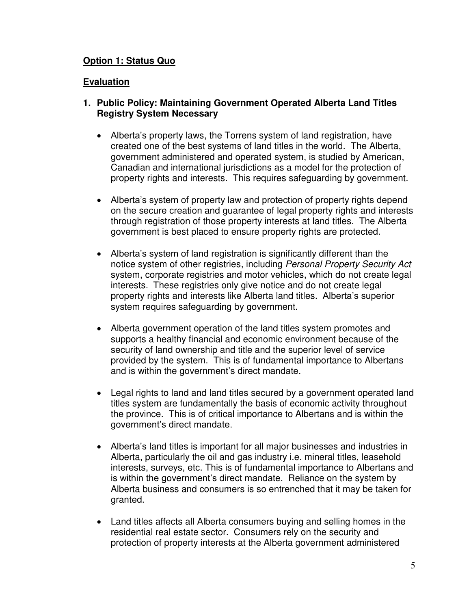#### **Option 1: Status Quo**

#### **Evaluation**

#### **1. Public Policy: Maintaining Government Operated Alberta Land Titles Registry System Necessary**

- Alberta's property laws, the Torrens system of land registration, have created one of the best systems of land titles in the world. The Alberta, government administered and operated system, is studied by American, Canadian and international jurisdictions as a model for the protection of property rights and interests. This requires safeguarding by government.
- Alberta's system of property law and protection of property rights depend on the secure creation and guarantee of legal property rights and interests through registration of those property interests at land titles. The Alberta government is best placed to ensure property rights are protected.
- Alberta's system of land registration is significantly different than the notice system of other registries, including *Personal Property Security Act* system, corporate registries and motor vehicles, which do not create legal interests. These registries only give notice and do not create legal property rights and interests like Alberta land titles. Alberta's superior system requires safeguarding by government.
- Alberta government operation of the land titles system promotes and supports a healthy financial and economic environment because of the security of land ownership and title and the superior level of service provided by the system. This is of fundamental importance to Albertans and is within the government's direct mandate.
- Legal rights to land and land titles secured by a government operated land titles system are fundamentally the basis of economic activity throughout the province. This is of critical importance to Albertans and is within the government's direct mandate.
- Alberta's land titles is important for all major businesses and industries in Alberta, particularly the oil and gas industry i.e. mineral titles, leasehold interests, surveys, etc. This is of fundamental importance to Albertans and is within the government's direct mandate. Reliance on the system by Alberta business and consumers is so entrenched that it may be taken for granted.
- Land titles affects all Alberta consumers buying and selling homes in the residential real estate sector. Consumers rely on the security and protection of property interests at the Alberta government administered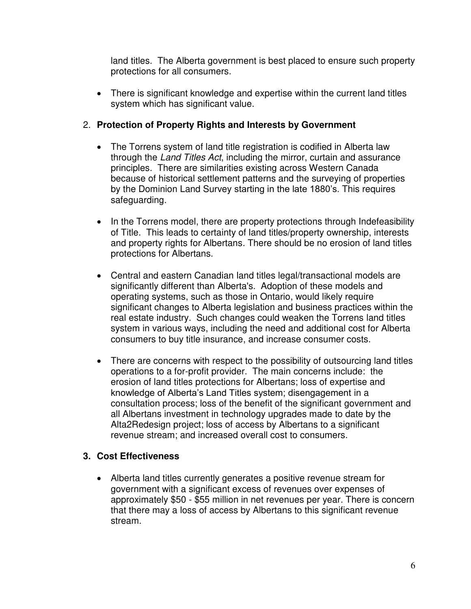land titles. The Alberta government is best placed to ensure such property protections for all consumers.

• There is significant knowledge and expertise within the current land titles system which has significant value.

# 2. **Protection of Property Rights and Interests by Government**

- The Torrens system of land title registration is codified in Alberta law through the *Land Titles Act*, including the mirror, curtain and assurance principles. There are similarities existing across Western Canada because of historical settlement patterns and the surveying of properties by the Dominion Land Survey starting in the late 1880's. This requires safeguarding.
- In the Torrens model, there are property protections through Indefeasibility of Title. This leads to certainty of land titles/property ownership, interests and property rights for Albertans. There should be no erosion of land titles protections for Albertans.
- Central and eastern Canadian land titles legal/transactional models are significantly different than Alberta's. Adoption of these models and operating systems, such as those in Ontario, would likely require significant changes to Alberta legislation and business practices within the real estate industry. Such changes could weaken the Torrens land titles system in various ways, including the need and additional cost for Alberta consumers to buy title insurance, and increase consumer costs.
- There are concerns with respect to the possibility of outsourcing land titles operations to a for-profit provider. The main concerns include: the erosion of land titles protections for Albertans; loss of expertise and knowledge of Alberta's Land Titles system; disengagement in a consultation process; loss of the benefit of the significant government and all Albertans investment in technology upgrades made to date by the Alta2Redesign project; loss of access by Albertans to a significant revenue stream; and increased overall cost to consumers.

### **3. Cost Effectiveness**

 Alberta land titles currently generates a positive revenue stream for government with a significant excess of revenues over expenses of approximately \$50 - \$55 million in net revenues per year. There is concern that there may a loss of access by Albertans to this significant revenue stream.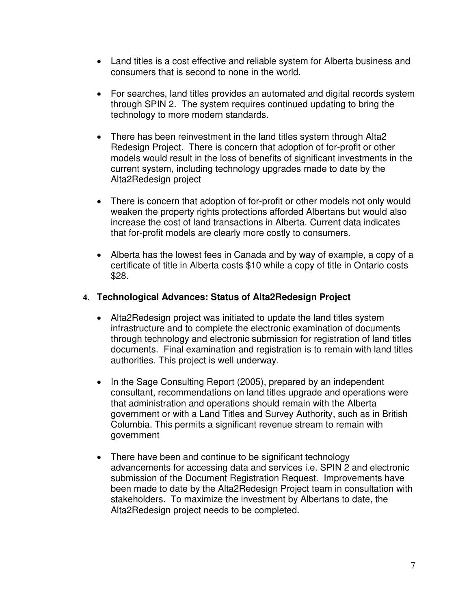- Land titles is a cost effective and reliable system for Alberta business and consumers that is second to none in the world.
- For searches, land titles provides an automated and digital records system through SPIN 2. The system requires continued updating to bring the technology to more modern standards.
- There has been reinvestment in the land titles system through Alta2 Redesign Project. There is concern that adoption of for-profit or other models would result in the loss of benefits of significant investments in the current system, including technology upgrades made to date by the Alta2Redesign project
- There is concern that adoption of for-profit or other models not only would weaken the property rights protections afforded Albertans but would also increase the cost of land transactions in Alberta. Current data indicates that for-profit models are clearly more costly to consumers.
- Alberta has the lowest fees in Canada and by way of example, a copy of a certificate of title in Alberta costs \$10 while a copy of title in Ontario costs \$28.

### **4. Technological Advances: Status of Alta2Redesign Project**

- Alta2Redesign project was initiated to update the land titles system infrastructure and to complete the electronic examination of documents through technology and electronic submission for registration of land titles documents. Final examination and registration is to remain with land titles authorities. This project is well underway.
- In the Sage Consulting Report (2005), prepared by an independent consultant, recommendations on land titles upgrade and operations were that administration and operations should remain with the Alberta government or with a Land Titles and Survey Authority, such as in British Columbia. This permits a significant revenue stream to remain with government
- There have been and continue to be significant technology advancements for accessing data and services i.e. SPIN 2 and electronic submission of the Document Registration Request. Improvements have been made to date by the Alta2Redesign Project team in consultation with stakeholders. To maximize the investment by Albertans to date, the Alta2Redesign project needs to be completed.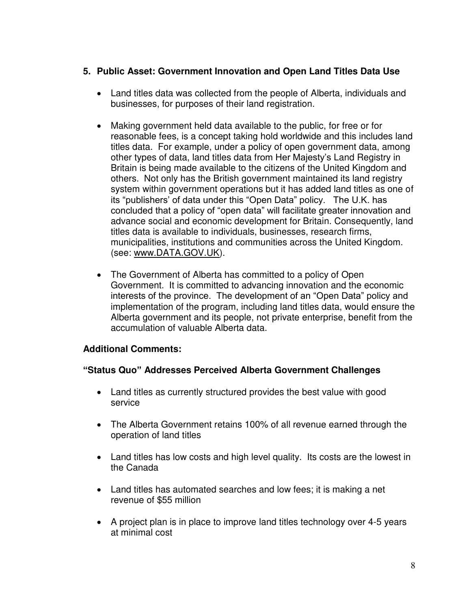## **5. Public Asset: Government Innovation and Open Land Titles Data Use**

- Land titles data was collected from the people of Alberta, individuals and businesses, for purposes of their land registration.
- Making government held data available to the public, for free or for reasonable fees, is a concept taking hold worldwide and this includes land titles data. For example, under a policy of open government data, among other types of data, land titles data from Her Majesty's Land Registry in Britain is being made available to the citizens of the United Kingdom and others. Not only has the British government maintained its land registry system within government operations but it has added land titles as one of its "publishers' of data under this "Open Data" policy. The U.K. has concluded that a policy of "open data" will facilitate greater innovation and advance social and economic development for Britain. Consequently, land titles data is available to individuals, businesses, research firms, municipalities, institutions and communities across the United Kingdom. (see: [www.DATA.GOV.UK\)](http://www.data.gov.uk/).
- The Government of Alberta has committed to a policy of Open Government. It is committed to advancing innovation and the economic interests of the province. The development of an "Open Data" policy and implementation of the program, including land titles data, would ensure the Alberta government and its people, not private enterprise, benefit from the accumulation of valuable Alberta data.

### **Additional Comments:**

### **"Status Quo" Addresses Perceived Alberta Government Challenges**

- Land titles as currently structured provides the best value with good service
- The Alberta Government retains 100% of all revenue earned through the operation of land titles
- Land titles has low costs and high level quality. Its costs are the lowest in the Canada
- Land titles has automated searches and low fees; it is making a net revenue of \$55 million
- A project plan is in place to improve land titles technology over 4-5 years at minimal cost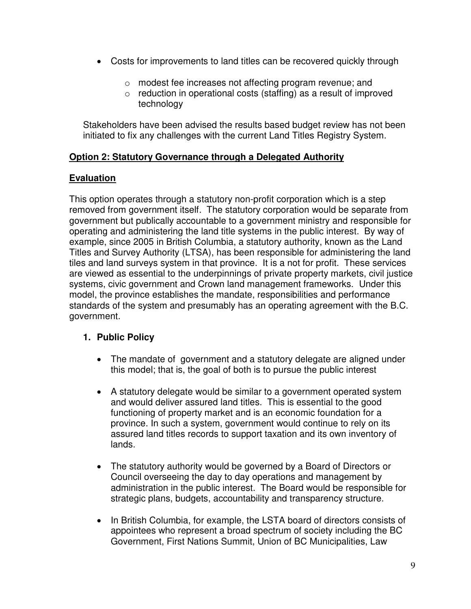- Costs for improvements to land titles can be recovered quickly through
	- o modest fee increases not affecting program revenue; and
	- o reduction in operational costs (staffing) as a result of improved technology

Stakeholders have been advised the results based budget review has not been initiated to fix any challenges with the current Land Titles Registry System.

### **Option 2: Statutory Governance through a Delegated Authority**

# **Evaluation**

This option operates through a statutory non-profit corporation which is a step removed from government itself. The statutory corporation would be separate from government but publically accountable to a government ministry and responsible for operating and administering the land title systems in the public interest. By way of example, since 2005 in British Columbia, a statutory authority, known as the Land Titles and Survey Authority (LTSA), has been responsible for administering the land tiles and land surveys system in that province. It is a not for profit. These services are viewed as essential to the underpinnings of private property markets, civil justice systems, civic government and Crown land management frameworks. Under this model, the province establishes the mandate, responsibilities and performance standards of the system and presumably has an operating agreement with the B.C. government.

### **1. Public Policy**

- The mandate of government and a statutory delegate are aligned under this model; that is, the goal of both is to pursue the public interest
- A statutory delegate would be similar to a government operated system and would deliver assured land titles. This is essential to the good functioning of property market and is an economic foundation for a province. In such a system, government would continue to rely on its assured land titles records to support taxation and its own inventory of lands.
- The statutory authority would be governed by a Board of Directors or Council overseeing the day to day operations and management by administration in the public interest. The Board would be responsible for strategic plans, budgets, accountability and transparency structure.
- In British Columbia, for example, the LSTA board of directors consists of appointees who represent a broad spectrum of society including the BC Government, First Nations Summit, Union of BC Municipalities, Law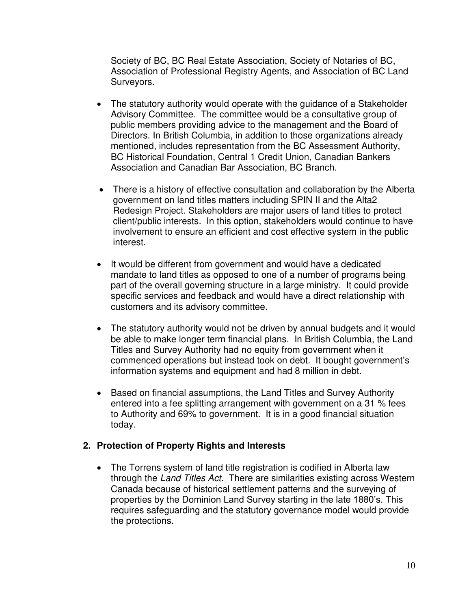Society of BC, BC Real Estate Association, Society of Notaries of BC, Association of Professional Registry Agents, and Association of BC Land Surveyors.

- The statutory authority would operate with the guidance of a Stakeholder Advisory Committee. The committee would be a consultative group of public members providing advice to the management and the Board of Directors. In British Columbia, in addition to those organizations already mentioned, includes representation from the BC Assessment Authority, BC Historical Foundation, Central 1 Credit Union, Canadian Bankers Association and Canadian Bar Association, BC Branch.
- There is a history of effective consultation and collaboration by the Alberta government on land titles matters including SPIN II and the Alta2 Redesign Project. Stakeholders are major users of land titles to protect client/public interests. In this option, stakeholders would continue to have involvement to ensure an efficient and cost effective system in the public interest.
- It would be different from government and would have a dedicated mandate to land titles as opposed to one of a number of programs being part of the overall governing structure in a large ministry. It could provide specific services and feedback and would have a direct relationship with customers and its advisory committee.
- The statutory authority would not be driven by annual budgets and it would be able to make longer term financial plans. In British Columbia, the Land Titles and Survey Authority had no equity from government when it commenced operations but instead took on debt. It bought government's information systems and equipment and had 8 million in debt.
- Based on financial assumptions, the Land Titles and Survey Authority entered into a fee splitting arrangement with government on a 31 % fees to Authority and 69% to government. It is in a good financial situation today.

### **2. Protection of Property Rights and Interests**

• The Torrens system of land title registration is codified in Alberta law through the *Land Titles Act.* There are similarities existing across Western Canada because of historical settlement patterns and the surveying of properties by the Dominion Land Survey starting in the late 1880's. This requires safeguarding and the statutory governance model would provide the protections.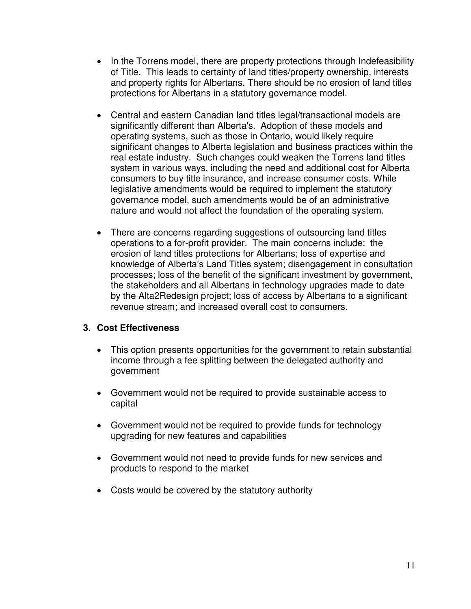- In the Torrens model, there are property protections through Indefeasibility of Title. This leads to certainty of land titles/property ownership, interests and property rights for Albertans. There should be no erosion of land titles protections for Albertans in a statutory governance model.
- Central and eastern Canadian land titles legal/transactional models are significantly different than Alberta's. Adoption of these models and operating systems, such as those in Ontario, would likely require significant changes to Alberta legislation and business practices within the real estate industry. Such changes could weaken the Torrens land titles system in various ways, including the need and additional cost for Alberta consumers to buy title insurance, and increase consumer costs. While legislative amendments would be required to implement the statutory governance model, such amendments would be of an administrative nature and would not affect the foundation of the operating system.
- There are concerns regarding suggestions of outsourcing land titles operations to a for-profit provider. The main concerns include: the erosion of land titles protections for Albertans; loss of expertise and knowledge of Alberta's Land Titles system; disengagement in consultation processes; loss of the benefit of the significant investment by government, the stakeholders and all Albertans in technology upgrades made to date by the Alta2Redesign project; loss of access by Albertans to a significant revenue stream; and increased overall cost to consumers.

### **3. Cost Effectiveness**

- This option presents opportunities for the government to retain substantial income through a fee splitting between the delegated authority and government
- Government would not be required to provide sustainable access to capital
- Government would not be required to provide funds for technology upgrading for new features and capabilities
- Government would not need to provide funds for new services and products to respond to the market
- Costs would be covered by the statutory authority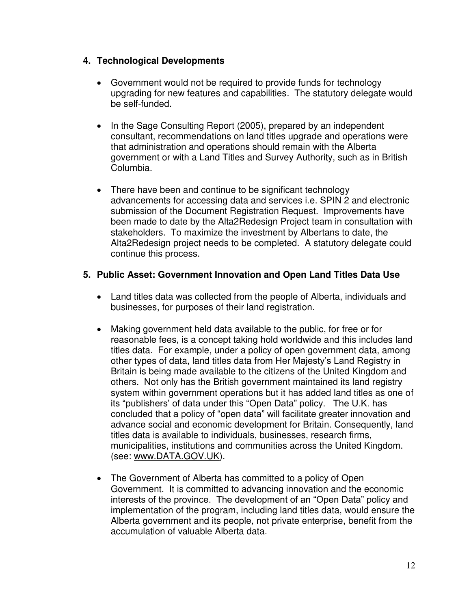### **4. Technological Developments**

- Government would not be required to provide funds for technology upgrading for new features and capabilities. The statutory delegate would be self-funded.
- In the Sage Consulting Report (2005), prepared by an independent consultant, recommendations on land titles upgrade and operations were that administration and operations should remain with the Alberta government or with a Land Titles and Survey Authority, such as in British Columbia.
- There have been and continue to be significant technology advancements for accessing data and services i.e. SPIN 2 and electronic submission of the Document Registration Request. Improvements have been made to date by the Alta2Redesign Project team in consultation with stakeholders. To maximize the investment by Albertans to date, the Alta2Redesign project needs to be completed. A statutory delegate could continue this process.

### **5. Public Asset: Government Innovation and Open Land Titles Data Use**

- Land titles data was collected from the people of Alberta, individuals and businesses, for purposes of their land registration.
- Making government held data available to the public, for free or for reasonable fees, is a concept taking hold worldwide and this includes land titles data. For example, under a policy of open government data, among other types of data, land titles data from Her Majesty's Land Registry in Britain is being made available to the citizens of the United Kingdom and others. Not only has the British government maintained its land registry system within government operations but it has added land titles as one of its "publishers' of data under this "Open Data" policy. The U.K. has concluded that a policy of "open data" will facilitate greater innovation and advance social and economic development for Britain. Consequently, land titles data is available to individuals, businesses, research firms, municipalities, institutions and communities across the United Kingdom. (see: [www.DATA.GOV.UK\)](http://www.data.gov.uk/).
- The Government of Alberta has committed to a policy of Open Government. It is committed to advancing innovation and the economic interests of the province. The development of an "Open Data" policy and implementation of the program, including land titles data, would ensure the Alberta government and its people, not private enterprise, benefit from the accumulation of valuable Alberta data.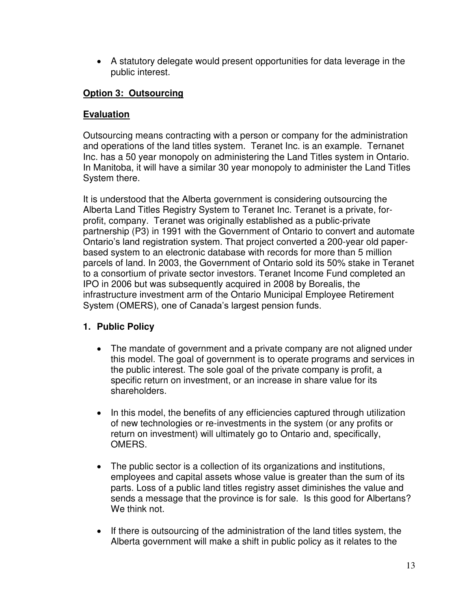A statutory delegate would present opportunities for data leverage in the public interest.

# **Option 3: Outsourcing**

## **Evaluation**

Outsourcing means contracting with a person or company for the administration and operations of the land titles system. Teranet Inc. is an example. Ternanet Inc. has a 50 year monopoly on administering the Land Titles system in Ontario. In Manitoba, it will have a similar 30 year monopoly to administer the Land Titles System there.

It is understood that the Alberta government is considering outsourcing the Alberta Land Titles Registry System to Teranet Inc. Teranet is a private, forprofit, company. Teranet was originally established as a public-private partnership (P3) in 1991 with the Government of Ontario to convert and automate Ontario's land registration system. That project converted a 200-year old paperbased system to an electronic database with records for more than 5 million parcels of land. In 2003, the Government of Ontario sold its 50% stake in Teranet to a consortium of private sector investors. Teranet Income Fund completed an IPO in 2006 but was subsequently acquired in 2008 by Borealis, the infrastructure investment arm of the Ontario Municipal Employee Retirement System (OMERS), one of Canada's largest pension funds.

# **1. Public Policy**

- The mandate of government and a private company are not aligned under this model. The goal of government is to operate programs and services in the public interest. The sole goal of the private company is profit, a specific return on investment, or an increase in share value for its shareholders.
- In this model, the benefits of any efficiencies captured through utilization of new technologies or re-investments in the system (or any profits or return on investment) will ultimately go to Ontario and, specifically, OMERS.
- The public sector is a collection of its organizations and institutions, employees and capital assets whose value is greater than the sum of its parts. Loss of a public land titles registry asset diminishes the value and sends a message that the province is for sale. Is this good for Albertans? We think not.
- If there is outsourcing of the administration of the land titles system, the Alberta government will make a shift in public policy as it relates to the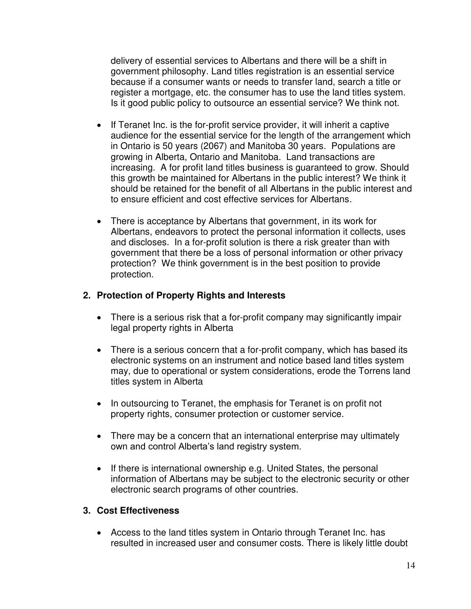delivery of essential services to Albertans and there will be a shift in government philosophy. Land titles registration is an essential service because if a consumer wants or needs to transfer land, search a title or register a mortgage, etc. the consumer has to use the land titles system. Is it good public policy to outsource an essential service? We think not.

- If Teranet Inc. is the for-profit service provider, it will inherit a captive audience for the essential service for the length of the arrangement which in Ontario is 50 years (2067) and Manitoba 30 years. Populations are growing in Alberta, Ontario and Manitoba. Land transactions are increasing. A for profit land titles business is guaranteed to grow. Should this growth be maintained for Albertans in the public interest? We think it should be retained for the benefit of all Albertans in the public interest and to ensure efficient and cost effective services for Albertans.
- There is acceptance by Albertans that government, in its work for Albertans, endeavors to protect the personal information it collects, uses and discloses. In a for-profit solution is there a risk greater than with government that there be a loss of personal information or other privacy protection? We think government is in the best position to provide protection.

#### **2. Protection of Property Rights and Interests**

- There is a serious risk that a for-profit company may significantly impair legal property rights in Alberta
- There is a serious concern that a for-profit company, which has based its electronic systems on an instrument and notice based land titles system may, due to operational or system considerations, erode the Torrens land titles system in Alberta
- In outsourcing to Teranet, the emphasis for Teranet is on profit not property rights, consumer protection or customer service.
- There may be a concern that an international enterprise may ultimately own and control Alberta's land registry system.
- $\bullet$  If there is international ownership e.g. United States, the personal information of Albertans may be subject to the electronic security or other electronic search programs of other countries.

#### **3. Cost Effectiveness**

 Access to the land titles system in Ontario through Teranet Inc. has resulted in increased user and consumer costs. There is likely little doubt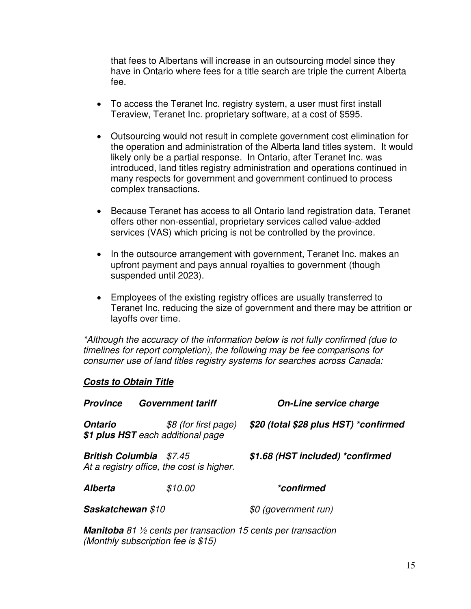that fees to Albertans will increase in an outsourcing model since they have in Ontario where fees for a title search are triple the current Alberta fee.

- To access the Teranet Inc. registry system, a user must first install Teraview, Teranet Inc. proprietary software, at a cost of \$595.
- Outsourcing would not result in complete government cost elimination for the operation and administration of the Alberta land titles system. It would likely only be a partial response. In Ontario, after Teranet Inc. was introduced, land titles registry administration and operations continued in many respects for government and government continued to process complex transactions.
- Because Teranet has access to all Ontario land registration data, Teranet offers other non-essential, proprietary services called value-added services (VAS) which pricing is not be controlled by the province.
- In the outsource arrangement with government, Teranet Inc. makes an upfront payment and pays annual royalties to government (though suspended until 2023).
- Employees of the existing registry offices are usually transferred to Teranet Inc, reducing the size of government and there may be attrition or layoffs over time.

*\*Although the accuracy of the information below is not fully confirmed (due to timelines for report completion), the following may be fee comparisons for consumer use of land titles registry systems for searches across Canada:* 

#### *Costs to Obtain Title*

| <b>Province</b>   | <b>Government tariff</b>                                                    | <b>On-Line service charge</b>         |
|-------------------|-----------------------------------------------------------------------------|---------------------------------------|
| <b>Ontario</b>    | \$8 (for first page)<br>\$1 plus HST each additional page                   | \$20 (total \$28 plus HST) *confirmed |
|                   | <b>British Columbia</b> \$7.45<br>At a registry office, the cost is higher. | \$1.68 (HST included) *confirmed      |
| <b>Alberta</b>    | \$10.00                                                                     | <i>*confirmed</i>                     |
| Saskatchewan \$10 |                                                                             | \$0 (government run)                  |

*Manitoba 81 ½ cents per transaction 15 cents per transaction (Monthly subscription fee is \$15)*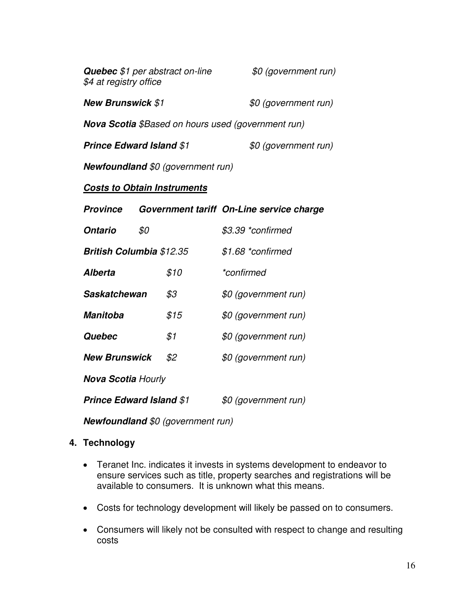| <b>Quebec</b> \$1 per abstract on-line<br>\$4 at registry office | \$0 (government run) |
|------------------------------------------------------------------|----------------------|
| <b>New Brunswick \$1</b>                                         | \$0 (government run) |

*Nova Scotia \$Based on hours used (government run)* 

| <b>Prince Edward Island \$1</b> | \$0 (government run) |
|---------------------------------|----------------------|
|---------------------------------|----------------------|

*Newfoundland \$0 (government run)* 

#### *Costs to Obtain Instruments*

| <b>Province</b>                 |     |                   | Government tariff On-Line service charge |  |  |
|---------------------------------|-----|-------------------|------------------------------------------|--|--|
| Ontario                         | \$0 |                   | \$3.39 *confirmed                        |  |  |
| <b>British Columbia \$12.35</b> |     | \$1.68 *confirmed |                                          |  |  |
| <i><b>Alberta</b></i>           |     | \$10              | *confirmed                               |  |  |
| Saskatchewan                    |     | \$3               | \$0 (government run)                     |  |  |
| Manitoba                        |     | \$15              | \$0 (government run)                     |  |  |
| Quebec                          |     | \$1               | \$0 (government run)                     |  |  |
| <b>New Brunswick</b>            |     | \$2               | \$0 (government run)                     |  |  |
| <b>Nova Scotia Hourly</b>       |     |                   |                                          |  |  |
| <b>Prince Edward Island \$1</b> |     |                   | \$0 (government run)                     |  |  |

*Newfoundland \$0 (government run)* 

### **4. Technology**

- Teranet Inc. indicates it invests in systems development to endeavor to ensure services such as title, property searches and registrations will be available to consumers. It is unknown what this means.
- Costs for technology development will likely be passed on to consumers.
- Consumers will likely not be consulted with respect to change and resulting costs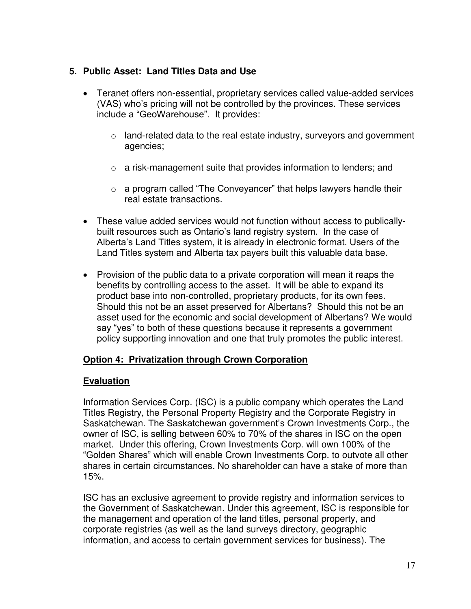# **5. Public Asset: Land Titles Data and Use**

- Teranet offers non-essential, proprietary services called value-added services (VAS) who's pricing will not be controlled by the provinces. These services include a "GeoWarehouse". It provides:
	- $\circ$  land-related data to the real estate industry, surveyors and government agencies;
	- o a risk-management suite that provides information to lenders; and
	- $\circ$  a program called "The Conveyancer" that helps lawyers handle their real estate transactions.
- These value added services would not function without access to publicallybuilt resources such as Ontario's land registry system. In the case of Alberta's Land Titles system, it is already in electronic format. Users of the Land Titles system and Alberta tax payers built this valuable data base.
- Provision of the public data to a private corporation will mean it reaps the benefits by controlling access to the asset. It will be able to expand its product base into non-controlled, proprietary products, for its own fees. Should this not be an asset preserved for Albertans? Should this not be an asset used for the economic and social development of Albertans? We would say "yes" to both of these questions because it represents a government policy supporting innovation and one that truly promotes the public interest.

### **Option 4: Privatization through Crown Corporation**

### **Evaluation**

Information Services Corp. (ISC) is a public company which operates the Land Titles Registry, the Personal Property Registry and the Corporate Registry in Saskatchewan. The Saskatchewan government's Crown Investments Corp., the owner of ISC, is selling between 60% to 70% of the shares in ISC on the open market. Under this offering, Crown Investments Corp. will own 100% of the "Golden Shares" which will enable Crown Investments Corp. to outvote all other shares in certain circumstances. No shareholder can have a stake of more than 15%.

ISC has an exclusive agreement to provide registry and information services to the Government of Saskatchewan. Under this agreement, ISC is responsible for the management and operation of the land titles, personal property, and corporate registries (as well as the land surveys directory, geographic information, and access to certain government services for business). The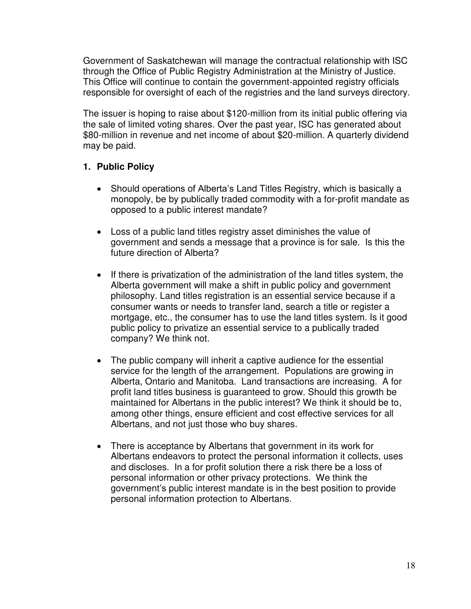Government of Saskatchewan will manage the contractual relationship with ISC through the Office of Public Registry Administration at the Ministry of Justice. This Office will continue to contain the government-appointed registry officials responsible for oversight of each of the registries and the land surveys directory.

The issuer is hoping to raise about \$120-million from its initial public offering via the sale of limited voting shares. Over the past year, ISC has generated about \$80-million in revenue and net income of about \$20-million. A quarterly dividend may be paid.

### **1. Public Policy**

- Should operations of Alberta's Land Titles Registry, which is basically a monopoly, be by publically traded commodity with a for-profit mandate as opposed to a public interest mandate?
- Loss of a public land titles registry asset diminishes the value of government and sends a message that a province is for sale. Is this the future direction of Alberta?
- If there is privatization of the administration of the land titles system, the Alberta government will make a shift in public policy and government philosophy. Land titles registration is an essential service because if a consumer wants or needs to transfer land, search a title or register a mortgage, etc., the consumer has to use the land titles system. Is it good public policy to privatize an essential service to a publically traded company? We think not.
- The public company will inherit a captive audience for the essential service for the length of the arrangement. Populations are growing in Alberta, Ontario and Manitoba. Land transactions are increasing. A for profit land titles business is guaranteed to grow. Should this growth be maintained for Albertans in the public interest? We think it should be to, among other things, ensure efficient and cost effective services for all Albertans, and not just those who buy shares.
- There is acceptance by Albertans that government in its work for Albertans endeavors to protect the personal information it collects, uses and discloses. In a for profit solution there a risk there be a loss of personal information or other privacy protections. We think the government's public interest mandate is in the best position to provide personal information protection to Albertans.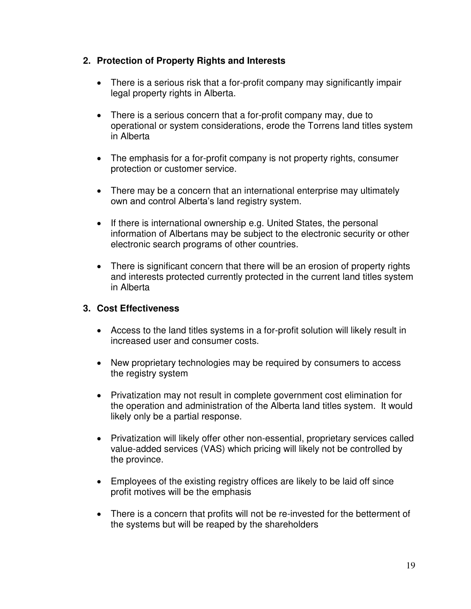## **2. Protection of Property Rights and Interests**

- There is a serious risk that a for-profit company may significantly impair legal property rights in Alberta.
- There is a serious concern that a for-profit company may, due to operational or system considerations, erode the Torrens land titles system in Alberta
- The emphasis for a for-profit company is not property rights, consumer protection or customer service.
- There may be a concern that an international enterprise may ultimately own and control Alberta's land registry system.
- If there is international ownership e.g. United States, the personal information of Albertans may be subject to the electronic security or other electronic search programs of other countries.
- There is significant concern that there will be an erosion of property rights and interests protected currently protected in the current land titles system in Alberta

## **3. Cost Effectiveness**

- Access to the land titles systems in a for-profit solution will likely result in increased user and consumer costs.
- New proprietary technologies may be required by consumers to access the registry system
- Privatization may not result in complete government cost elimination for the operation and administration of the Alberta land titles system. It would likely only be a partial response.
- Privatization will likely offer other non-essential, proprietary services called value-added services (VAS) which pricing will likely not be controlled by the province.
- Employees of the existing registry offices are likely to be laid off since profit motives will be the emphasis
- There is a concern that profits will not be re-invested for the betterment of the systems but will be reaped by the shareholders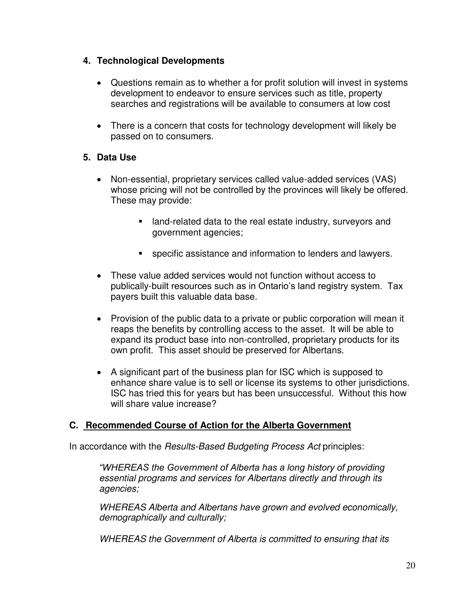# **4. Technological Developments**

- Questions remain as to whether a for profit solution will invest in systems development to endeavor to ensure services such as title, property searches and registrations will be available to consumers at low cost
- There is a concern that costs for technology development will likely be passed on to consumers.

# **5. Data Use**

- Non-essential, proprietary services called value-added services (VAS) whose pricing will not be controlled by the provinces will likely be offered. These may provide:
	- **EXTE** land-related data to the real estate industry, surveyors and government agencies;
	- specific assistance and information to lenders and lawyers.
- These value added services would not function without access to publically-built resources such as in Ontario's land registry system. Tax payers built this valuable data base.
- Provision of the public data to a private or public corporation will mean it reaps the benefits by controlling access to the asset. It will be able to expand its product base into non-controlled, proprietary products for its own profit. This asset should be preserved for Albertans.
- A significant part of the business plan for ISC which is supposed to enhance share value is to sell or license its systems to other jurisdictions. ISC has tried this for years but has been unsuccessful. Without this how will share value increase?

### **C. Recommended Course of Action for the Alberta Government**

In accordance with the *Results-Based Budgeting Process Act* principles:

*"WHEREAS the Government of Alberta has a long history of providing essential programs and services for Albertans directly and through its agencies;* 

*WHEREAS Alberta and Albertans have grown and evolved economically, demographically and culturally;* 

*WHEREAS the Government of Alberta is committed to ensuring that its*